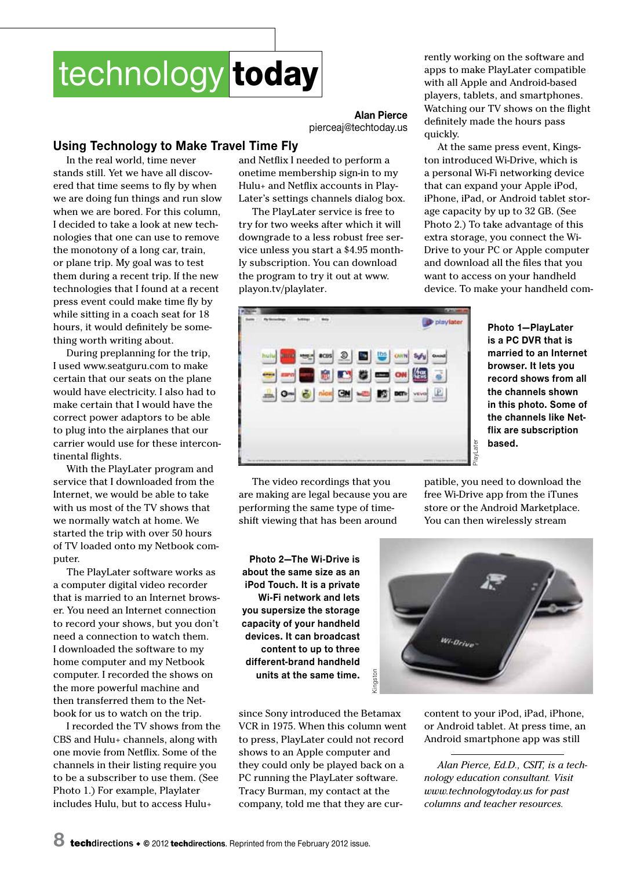# technology today

**Alan Pierce** pierceaj@techtoday.us

### **Using Technology to Make Travel Time Fly**

In the real world, time never stands still. Yet we have all discovered that time seems to fly by when we are doing fun things and run slow when we are bored. For this column, I decided to take a look at new technologies that one can use to remove the monotony of a long car, train, or plane trip. My goal was to test them during a recent trip. If the new technologies that I found at a recent press event could make time fly by while sitting in a coach seat for 18 hours, it would definitely be something worth writing about.

During preplanning for the trip, I used www.seatguru.com to make certain that our seats on the plane would have electricity. I also had to make certain that I would have the correct power adaptors to be able to plug into the airplanes that our carrier would use for these intercontinental flights.

With the PlayLater program and service that I downloaded from the Internet, we would be able to take with us most of the TV shows that we normally watch at home. We started the trip with over 50 hours of TV loaded onto my Netbook computer.

The PlayLater software works as a computer digital video recorder that is married to an Internet browser. You need an Internet connection to record your shows, but you don't need a connection to watch them. I downloaded the software to my home computer and my Netbook computer. I recorded the shows on the more powerful machine and then transferred them to the Netbook for us to watch on the trip.

I recorded the TV shows from the CBS and Hulu+ channels, along with one movie from Netflix. Some of the channels in their listing require you to be a subscriber to use them. (See Photo 1.) For example, Playlater includes Hulu, but to access Hulu+

and Netflix I needed to perform a onetime membership sign-in to my Hulu+ and Netflix accounts in Play-Later's settings channels dialog box.

The PlayLater service is free to try for two weeks after which it will downgrade to a less robust free service unless you start a \$4.95 monthly subscription. You can download the program to try it out at www. playon.tv/playlater.



At the same press event, Kingston introduced Wi-Drive, which is a personal Wi-Fi networking device that can expand your Apple iPod, iPhone, iPad, or Android tablet storage capacity by up to 32 GB. (See Photo 2.) To take advantage of this extra storage, you connect the Wi-Drive to your PC or Apple computer and download all the files that you want to access on your handheld device. To make your handheld com-



**Photo 1—PlayLater is a PC DVR that is married to an Internet browser. It lets you record shows from all the channels shown in this photo. Some of the channels like Netflix are subscription based.**

The video recordings that you are making are legal because you are performing the same type of timeshift viewing that has been around

patible, you need to download the free Wi-Drive app from the iTunes store or the Android Marketplace. You can then wirelessly stream

**Photo 2—The Wi-Drive is about the same size as an iPod Touch. It is a private Wi-Fi network and lets you supersize the storage capacity of your handheld devices. It can broadcast content to up to three different-brand handheld units at the same time.**

since Sony introduced the Betamax VCR in 1975. When this column went to press, PlayLater could not record shows to an Apple computer and they could only be played back on a PC running the PlayLater software. Tracy Burman, my contact at the company, told me that they are cur-



content to your iPod, iPad, iPhone, or Android tablet. At press time, an Android smartphone app was still

*Alan Pierce, Ed.D., CSIT, is a technology education consultant. Visit www.technologytoday.us for past columns and teacher resources.*